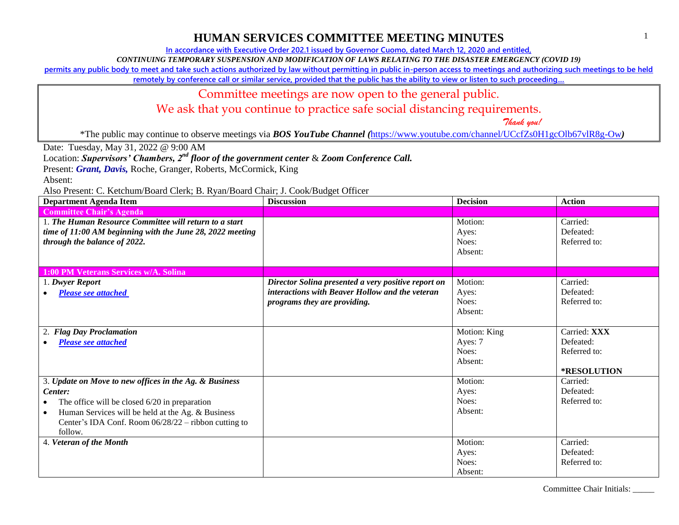**In accordance with Executive Order 202.1 issued by Governor Cuomo, dated March 12, 2020 and entitled,**

*CONTINUING TEMPORARY SUSPENSION AND MODIFICATION OF LAWS RELATING TO THE DISASTER EMERGENCY (COVID 19)*

**permits any public body to meet and take such actions authorized by law without permitting in public in-person access to meetings and authorizing such meetings to be held** 

**remotely by conference call or similar service, provided that the public has the ability to view or listen to such proceeding…**

## Committee meetings are now open to the general public.

We ask that you continue to practice safe social distancing requirements.

 *Thank you!*

\*The public may continue to observe meetings via *BOS YouTube Channel (*<https://www.youtube.com/channel/UCcfZs0H1gcOlb67vlR8g-Ow>*)*

Date: Tuesday, May 31, 2022 @ 9:00 AM

Location: *Supervisors' Chambers, 2nd floor of the government center* & *Zoom Conference Call.*

Present: *Grant, Davis*, Roche, Granger, Roberts, McCormick, King

Absent:

| <b>Department Agenda Item</b>                                                                                                                                                                                                                               | <b>Discussion</b>                                                                                                                      | <b>Decision</b>                             | <b>Action</b>                                            |
|-------------------------------------------------------------------------------------------------------------------------------------------------------------------------------------------------------------------------------------------------------------|----------------------------------------------------------------------------------------------------------------------------------------|---------------------------------------------|----------------------------------------------------------|
| <b>Committee Chair's Agenda</b>                                                                                                                                                                                                                             |                                                                                                                                        |                                             |                                                          |
| 1. The Human Resource Committee will return to a start<br>time of 11:00 AM beginning with the June 28, 2022 meeting<br>through the balance of 2022.                                                                                                         |                                                                                                                                        | Motion:<br>Ayes:<br>Noes:<br>Absent:        | Carried:<br>Defeated:<br>Referred to:                    |
| <b>1:00 PM Veterans Services w/A. Solina</b>                                                                                                                                                                                                                |                                                                                                                                        |                                             |                                                          |
| 1. Dwyer Report<br><b>Please see attached</b>                                                                                                                                                                                                               | Director Solina presented a very positive report on<br>interactions with Beaver Hollow and the veteran<br>programs they are providing. | Motion:<br>Ayes:<br>Noes:<br>Absent:        | Carried:<br>Defeated:<br>Referred to:                    |
| <b>Flag Day Proclamation</b><br>2.<br><b>Please see attached</b>                                                                                                                                                                                            |                                                                                                                                        | Motion: King<br>Ayes: 7<br>Noes:<br>Absent: | Carried: XXX<br>Defeated:<br>Referred to:<br>*RESOLUTION |
| 3. Update on Move to new offices in the Ag. & Business<br>Center:<br>The office will be closed $6/20$ in preparation<br>Human Services will be held at the Ag. & Business<br>$\bullet$<br>Center's IDA Conf. Room $06/28/22$ – ribbon cutting to<br>follow. |                                                                                                                                        | Motion:<br>Ayes:<br>Noes:<br>Absent:        | Carried:<br>Defeated:<br>Referred to:                    |
| 4. Veteran of the Month                                                                                                                                                                                                                                     |                                                                                                                                        | Motion:<br>Ayes:<br>Noes:<br>Absent:        | Carried:<br>Defeated:<br>Referred to:                    |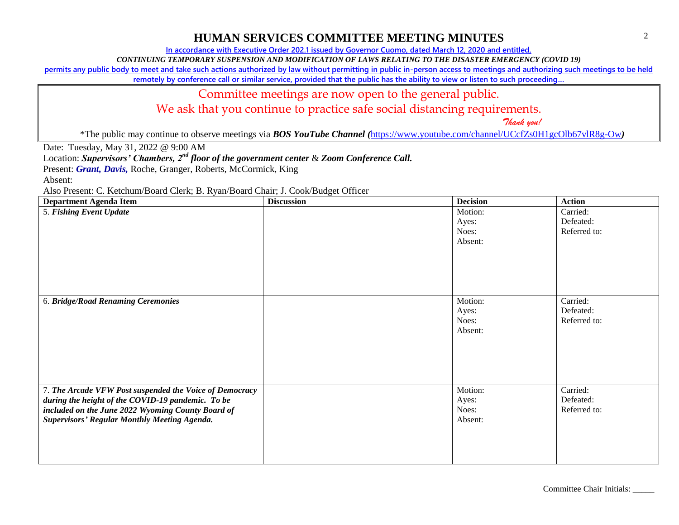**In accordance with Executive Order 202.1 issued by Governor Cuomo, dated March 12, 2020 and entitled,**

*CONTINUING TEMPORARY SUSPENSION AND MODIFICATION OF LAWS RELATING TO THE DISASTER EMERGENCY (COVID 19)*

**permits any public body to meet and take such actions authorized by law without permitting in public in-person access to meetings and authorizing such meetings to be held** 

**remotely by conference call or similar service, provided that the public has the ability to view or listen to such proceeding…**

#### Committee meetings are now open to the general public.

We ask that you continue to practice safe social distancing requirements.

 *Thank you!*

\*The public may continue to observe meetings via *BOS YouTube Channel (*<https://www.youtube.com/channel/UCcfZs0H1gcOlb67vlR8g-Ow>*)*

Date: Tuesday, May 31, 2022 @ 9:00 AM

Location: *Supervisors' Chambers, 2nd floor of the government center* & *Zoom Conference Call.*

Present: *Grant, Davis*, Roche, Granger, Roberts, McCormick, King

Absent:

| <b>Department Agenda Item</b>                                                                                                                                                                                            | <b>Discussion</b> | <b>Decision</b>                      | <b>Action</b>                         |
|--------------------------------------------------------------------------------------------------------------------------------------------------------------------------------------------------------------------------|-------------------|--------------------------------------|---------------------------------------|
| 5. Fishing Event Update                                                                                                                                                                                                  |                   | Motion:<br>Ayes:<br>Noes:<br>Absent: | Carried:<br>Defeated:<br>Referred to: |
| 6. Bridge/Road Renaming Ceremonies                                                                                                                                                                                       |                   | Motion:<br>Ayes:<br>Noes:<br>Absent: | Carried:<br>Defeated:<br>Referred to: |
| 7. The Arcade VFW Post suspended the Voice of Democracy<br>during the height of the COVID-19 pandemic. To be<br>included on the June 2022 Wyoming County Board of<br><b>Supervisors' Regular Monthly Meeting Agenda.</b> |                   | Motion:<br>Ayes:<br>Noes:<br>Absent: | Carried:<br>Defeated:<br>Referred to: |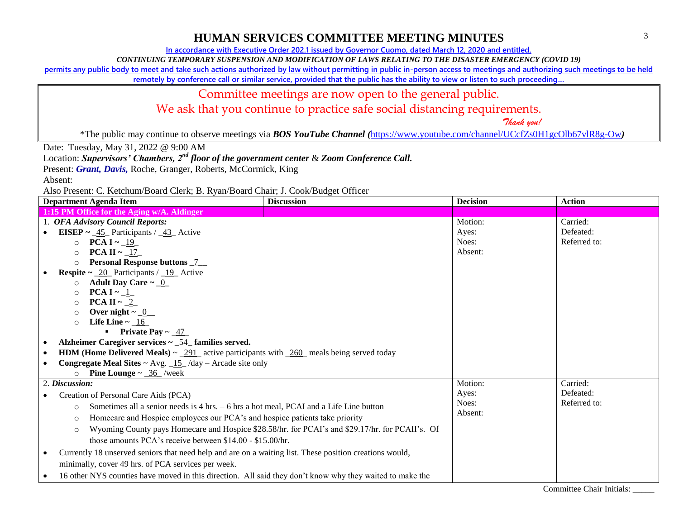**In accordance with Executive Order 202.1 issued by Governor Cuomo, dated March 12, 2020 and entitled,**

*CONTINUING TEMPORARY SUSPENSION AND MODIFICATION OF LAWS RELATING TO THE DISASTER EMERGENCY (COVID 19)*

**permits any public body to meet and take such actions authorized by law without permitting in public in-person access to meetings and authorizing such meetings to be held** 

**remotely by conference call or similar service, provided that the public has the ability to view or listen to such proceeding…**

#### Committee meetings are now open to the general public.

We ask that you continue to practice safe social distancing requirements.

 *Thank you!*

\*The public may continue to observe meetings via *BOS YouTube Channel (*<https://www.youtube.com/channel/UCcfZs0H1gcOlb67vlR8g-Ow>*)*

Date: Tuesday, May 31, 2022 @ 9:00 AM

Location: *Supervisors' Chambers, 2nd floor of the government center* & *Zoom Conference Call.*

Present: *Grant, Davis*, Roche, Granger, Roberts, McCormick, King

Absent:

Also Present: C. Ketchum/Board Clerk; B. Ryan/Board Chair; J. Cook/Budget Officer

|                                                                                                                                         | <b>Department Agenda Item</b>                                                                                                   | <b>Discussion</b> | <b>Decision</b> | <b>Action</b> |
|-----------------------------------------------------------------------------------------------------------------------------------------|---------------------------------------------------------------------------------------------------------------------------------|-------------------|-----------------|---------------|
|                                                                                                                                         | 1:15 PM Office for the Aging w/A. Aldinger                                                                                      |                   |                 |               |
|                                                                                                                                         | 1. OFA Advisory Council Reports:                                                                                                |                   | Motion:         | Carried:      |
|                                                                                                                                         | <b>EISEP</b> ~ $\frac{45}{10}$ Participants / $\frac{43}{10}$ Active                                                            |                   | Ayes:           | Defeated:     |
|                                                                                                                                         | <b>PCA I</b> $\sim$ 19<br>$\circ$                                                                                               |                   | Noes:           | Referred to:  |
|                                                                                                                                         | PCA II ~ $17$<br>$\circ$                                                                                                        |                   | Absent:         |               |
|                                                                                                                                         | <b>Personal Response buttons _7__</b><br>$\circ$                                                                                |                   |                 |               |
|                                                                                                                                         | <b>Respite</b> $\sim$ <u>20</u> Participants / <u>19</u> Active                                                                 |                   |                 |               |
|                                                                                                                                         | Adult Day Care $\sim$ 0<br>$\circ$                                                                                              |                   |                 |               |
|                                                                                                                                         | PCA I $\sim$ 1<br>$\circ$                                                                                                       |                   |                 |               |
|                                                                                                                                         | PCA II $\sim$ $2$<br>$\circ$                                                                                                    |                   |                 |               |
|                                                                                                                                         | Over night $\sim$ $\underline{\hspace{1cm}}\underline{\hspace{1cm}}\underline{\hspace{1cm}}\underline{\hspace{1cm}}$<br>$\circ$ |                   |                 |               |
|                                                                                                                                         | Life Line $\sim$ $\underline{\hspace{0.1cm}16}$<br>$\circ$<br>• Private Pay $\sim$ 47                                           |                   |                 |               |
|                                                                                                                                         |                                                                                                                                 |                   |                 |               |
| Alzheimer Caregiver services $\sim$ _54_ families served.<br>$\bullet$                                                                  |                                                                                                                                 |                   |                 |               |
| <b>HDM</b> (Home Delivered Meals) $\sim$ $\frac{291}{ }$ active participants with $\frac{260}{ }$ meals being served today<br>$\bullet$ |                                                                                                                                 |                   |                 |               |
| <b>Congregate Meal Sites ~ Avg.</b> $\frac{15}{15}$ /day – Arcade site only<br><b>Pine Lounge</b> $\sim$ $\underline{.36}$ /week        |                                                                                                                                 |                   |                 |               |
|                                                                                                                                         | $\circ$<br>2. Discussion:                                                                                                       |                   | Motion:         | Carried:      |
|                                                                                                                                         |                                                                                                                                 |                   | Ayes:           | Defeated:     |
|                                                                                                                                         | Creation of Personal Care Aids (PCA)                                                                                            |                   | Noes:           | Referred to:  |
|                                                                                                                                         | Sometimes all a senior needs is 4 hrs. – 6 hrs a hot meal, PCAI and a Life Line button<br>$\circ$                               |                   | Absent:         |               |
| Homecare and Hospice employees our PCA's and hospice patients take priority<br>$\circ$                                                  |                                                                                                                                 |                   |                 |               |
|                                                                                                                                         | Wyoming County pays Homecare and Hospice \$28.58/hr. for PCAI's and \$29.17/hr. for PCAII's. Of<br>$\circ$                      |                   |                 |               |
|                                                                                                                                         | those amounts PCA's receive between \$14.00 - \$15.00/hr.                                                                       |                   |                 |               |
| $\bullet$                                                                                                                               | Currently 18 unserved seniors that need help and are on a waiting list. These position creations would,                         |                   |                 |               |
| minimally, cover 49 hrs. of PCA services per week.                                                                                      |                                                                                                                                 |                   |                 |               |
|                                                                                                                                         | 16 other NYS counties have moved in this direction. All said they don't know why they waited to make the                        |                   |                 |               |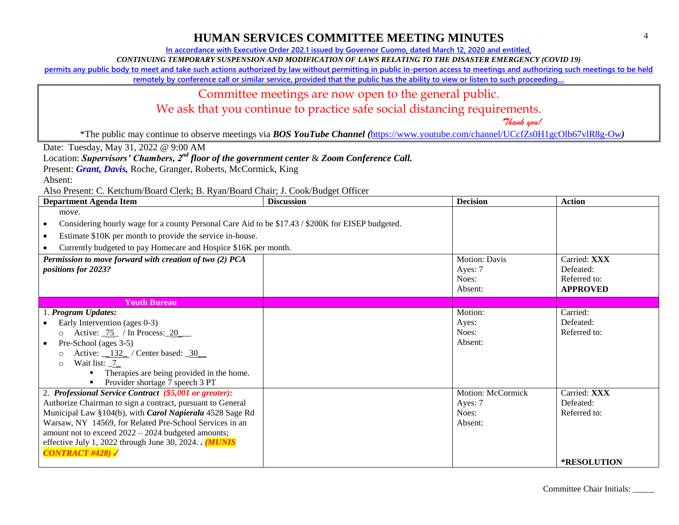**In accordance with Executive Order 202.1 issued by Governor Cuomo, dated March 12, 2020 and entitled,**

*CONTINUING TEMPORARY SUSPENSION AND MODIFICATION OF LAWS RELATING TO THE DISASTER EMERGENCY (COVID 19)*

**permits any public body to meet and take such actions authorized by law without permitting in public in-person access to meetings and authorizing such meetings to be held** 

**remotely by conference call or similar service, provided that the public has the ability to view or listen to such proceeding…**

## Committee meetings are now open to the general public.

We ask that you continue to practice safe social distancing requirements.

 *Thank you!*

\*The public may continue to observe meetings via *BOS YouTube Channel (*<https://www.youtube.com/channel/UCcfZs0H1gcOlb67vlR8g-Ow>*)*

Date: Tuesday, May 31, 2022 @ 9:00 AM

Location: *Supervisors' Chambers, 2nd floor of the government center* & *Zoom Conference Call.*

Present: *Grant, Davis*, Roche, Granger, Roberts, McCormick, King

Absent:

| Department Agenda Item                                                                                         | <b>Discussion</b> | <b>Decision</b>   | <b>Action</b>      |
|----------------------------------------------------------------------------------------------------------------|-------------------|-------------------|--------------------|
| move.                                                                                                          |                   |                   |                    |
| Considering hourly wage for a county Personal Care Aid to be \$17.43 / \$200K for EISEP budgeted.<br>$\bullet$ |                   |                   |                    |
| Estimate \$10K per month to provide the service in-house.<br>$\bullet$                                         |                   |                   |                    |
| Currently budgeted to pay Homecare and Hospice \$16K per month.                                                |                   |                   |                    |
| Permission to move forward with creation of two (2) PCA                                                        |                   | Motion: Davis     | Carried: XXX       |
| <i>positions for 2023?</i>                                                                                     |                   | Ayes: 7           | Defeated:          |
|                                                                                                                |                   | Noes:             | Referred to:       |
|                                                                                                                |                   | Absent:           | <b>APPROVED</b>    |
| <b>Youth Bureau</b>                                                                                            |                   |                   |                    |
| 1. Program Updates:                                                                                            |                   | Motion:           | Carried:           |
| Early Intervention (ages 0-3)<br>$\bullet$                                                                     |                   | Ayes:             | Defeated:          |
| Active: $\frac{75}{10}$ / In Process: 20<br>$\circ$                                                            |                   | Noes:             | Referred to:       |
| Pre-School (ages 3-5)<br>$\bullet$                                                                             |                   | Absent:           |                    |
| Active: $132$ / Center based: 30                                                                               |                   |                   |                    |
| Wait list: $7$<br>$\Omega$                                                                                     |                   |                   |                    |
| Therapies are being provided in the home.                                                                      |                   |                   |                    |
| Provider shortage 7 speech 3 PT                                                                                |                   |                   |                    |
| 2. Professional Service Contract (\$5,001 or greater):                                                         |                   | Motion: McCormick | Carried: XXX       |
| Authorize Chairman to sign a contract, pursuant to General                                                     |                   | Ayes: 7           | Defeated:          |
| Municipal Law §104(b), with Carol Napierala 4528 Sage Rd                                                       |                   | Noes:             | Referred to:       |
| Warsaw, NY 14569, for Related Pre-School Services in an                                                        |                   | Absent:           |                    |
| amount not to exceed 2022 - 2024 budgeted amounts;                                                             |                   |                   |                    |
| effective July 1, 2022 through June 30, 2024. $(MUNIS)$                                                        |                   |                   |                    |
| $CONTRACT$ #428)                                                                                               |                   |                   |                    |
|                                                                                                                |                   |                   | <b>*RESOLUTION</b> |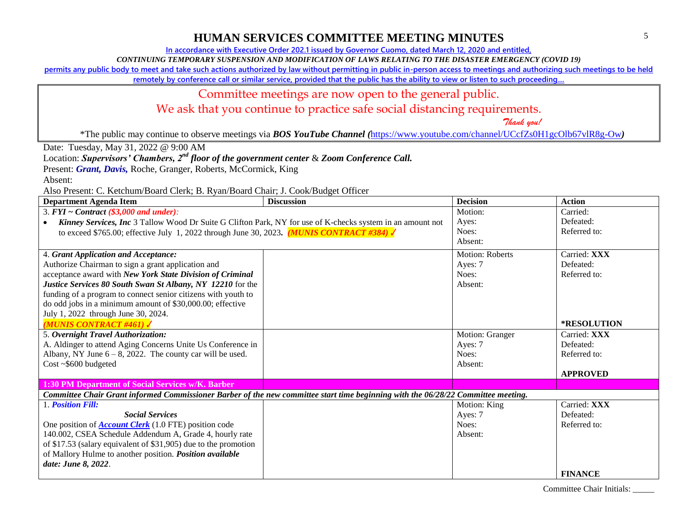**In accordance with Executive Order 202.1 issued by Governor Cuomo, dated March 12, 2020 and entitled,**

*CONTINUING TEMPORARY SUSPENSION AND MODIFICATION OF LAWS RELATING TO THE DISASTER EMERGENCY (COVID 19)*

**permits any public body to meet and take such actions authorized by law without permitting in public in-person access to meetings and authorizing such meetings to be held** 

**remotely by conference call or similar service, provided that the public has the ability to view or listen to such proceeding…**

#### Committee meetings are now open to the general public.

We ask that you continue to practice safe social distancing requirements.

 *Thank you!*

\*The public may continue to observe meetings via *BOS YouTube Channel (*<https://www.youtube.com/channel/UCcfZs0H1gcOlb67vlR8g-Ow>*)*

Date: Tuesday, May 31, 2022 @ 9:00 AM

Location: *Supervisors' Chambers, 2nd floor of the government center* & *Zoom Conference Call.*

Present: *Grant, Davis*, Roche, Granger, Roberts, McCormick, King

Absent:

Also Present: C. Ketchum/Board Clerk; B. Ryan/Board Chair; J. Cook/Budget Officer

| $\mu$ hoo 1 resema et recemant Doute Clerk, D. regain Doute Chan, S. Cook Dauger Officer<br><b>Department Agenda Item</b>         | <b>Discussion</b> | <b>Decision</b>        | <b>Action</b>   |
|-----------------------------------------------------------------------------------------------------------------------------------|-------------------|------------------------|-----------------|
| 3. $FYI \sim Contract$ (\$3,000 and under):                                                                                       |                   | Motion:                | Carried:        |
| Kinney Services, Inc 3 Tallow Wood Dr Suite G Clifton Park, NY for use of K-checks system in an amount not                        |                   | Ayes:                  | Defeated:       |
| to exceed \$765.00; effective July 1, 2022 through June 30, 2023. (MUNIS CONTRACT #384)                                           |                   | Noes:                  | Referred to:    |
|                                                                                                                                   |                   | Absent:                |                 |
| 4. Grant Application and Acceptance:                                                                                              |                   | <b>Motion: Roberts</b> | Carried: XXX    |
| Authorize Chairman to sign a grant application and                                                                                |                   | Ayes: 7                | Defeated:       |
| acceptance award with New York State Division of Criminal                                                                         |                   | Noes:                  | Referred to:    |
| Justice Services 80 South Swan St Albany, NY 12210 for the                                                                        |                   | Absent:                |                 |
| funding of a program to connect senior citizens with youth to                                                                     |                   |                        |                 |
| do odd jobs in a minimum amount of \$30,000.00; effective                                                                         |                   |                        |                 |
| July 1, 2022 through June 30, 2024.                                                                                               |                   |                        |                 |
| <b>MUNIS CONTRACT #461)</b>                                                                                                       |                   |                        | *RESOLUTION     |
| 5. Overnight Travel Authorization:                                                                                                |                   | Motion: Granger        | Carried: XXX    |
| A. Aldinger to attend Aging Concerns Unite Us Conference in                                                                       |                   | Ayes: 7                | Defeated:       |
| Albany, NY June $6 - 8$ , 2022. The county car will be used.                                                                      |                   | Noes:                  | Referred to:    |
| $Cost ~ 5600$ budgeted                                                                                                            |                   | Absent:                |                 |
|                                                                                                                                   |                   |                        | <b>APPROVED</b> |
| 1:30 PM Department of Social Services w/K. Barber                                                                                 |                   |                        |                 |
| Committee Chair Grant informed Commissioner Barber of the new committee start time beginning with the 06/28/22 Committee meeting. |                   |                        |                 |
| 1. Position Fill:                                                                                                                 |                   | Motion: King           | Carried: XXX    |
| <b>Social Services</b>                                                                                                            |                   | Ayes: 7                | Defeated:       |
| One position of <b>Account Clerk</b> (1.0 FTE) position code                                                                      |                   | Noes:                  | Referred to:    |
| 140.002, CSEA Schedule Addendum A, Grade 4, hourly rate                                                                           |                   | Absent:                |                 |
| of \$17.53 (salary equivalent of \$31,905) due to the promotion                                                                   |                   |                        |                 |
| of Mallory Hulme to another position. Position available                                                                          |                   |                        |                 |
| date: June 8, 2022.                                                                                                               |                   |                        |                 |
|                                                                                                                                   |                   |                        | <b>FINANCE</b>  |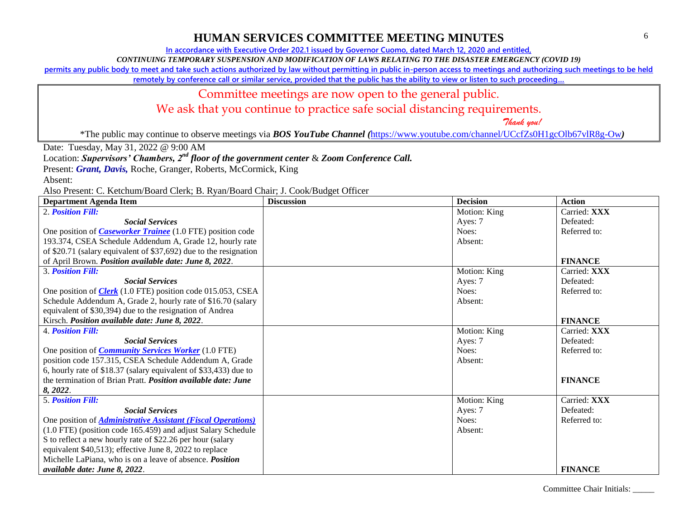**In accordance with Executive Order 202.1 issued by Governor Cuomo, dated March 12, 2020 and entitled,**

*CONTINUING TEMPORARY SUSPENSION AND MODIFICATION OF LAWS RELATING TO THE DISASTER EMERGENCY (COVID 19)*

**permits any public body to meet and take such actions authorized by law without permitting in public in-person access to meetings and authorizing such meetings to be held** 

**remotely by conference call or similar service, provided that the public has the ability to view or listen to such proceeding…**

#### Committee meetings are now open to the general public.

We ask that you continue to practice safe social distancing requirements.

 *Thank you!*

\*The public may continue to observe meetings via *BOS YouTube Channel (*<https://www.youtube.com/channel/UCcfZs0H1gcOlb67vlR8g-Ow>*)*

Date: Tuesday, May 31, 2022 @ 9:00 AM

Location: *Supervisors' Chambers, 2nd floor of the government center* & *Zoom Conference Call.*

Present: *Grant, Davis*, Roche, Granger, Roberts, McCormick, King

Absent:

Also Present: C. Ketchum/Board Clerk; B. Ryan/Board Chair; J. Cook/Budget Officer

| <b>Department Agenda Item</b>                                        | <b>Discussion</b> | <b>Decision</b> | <b>Action</b>  |
|----------------------------------------------------------------------|-------------------|-----------------|----------------|
| 2. <b>Position Fill:</b>                                             |                   | Motion: King    | Carried: XXX   |
| <b>Social Services</b>                                               |                   | Ayes: 7         | Defeated:      |
| One position of <i>Caseworker Trainee</i> (1.0 FTE) position code    |                   | Noes:           | Referred to:   |
| 193.374, CSEA Schedule Addendum A, Grade 12, hourly rate             |                   | Absent:         |                |
| of \$20.71 (salary equivalent of \$37,692) due to the resignation    |                   |                 |                |
| of April Brown. Position available date: June 8, 2022.               |                   |                 | <b>FINANCE</b> |
| <b>3. Position Fill:</b>                                             |                   | Motion: King    | Carried: XXX   |
| <b>Social Services</b>                                               |                   | Ayes: 7         | Defeated:      |
| One position of <i>Clerk</i> (1.0 FTE) position code 015.053, CSEA   |                   | Noes:           | Referred to:   |
| Schedule Addendum A, Grade 2, hourly rate of \$16.70 (salary         |                   | Absent:         |                |
| equivalent of \$30,394) due to the resignation of Andrea             |                   |                 |                |
| Kirsch. Position available date: June 8, 2022.                       |                   |                 | <b>FINANCE</b> |
| <b>4. Position Fill:</b>                                             |                   | Motion: King    | Carried: XXX   |
| <b>Social Services</b>                                               |                   | Ayes: 7         | Defeated:      |
| One position of <i>Community Services Worker</i> (1.0 FTE)           |                   | Noes:           | Referred to:   |
| position code 157.315, CSEA Schedule Addendum A, Grade               |                   | Absent:         |                |
| 6, hourly rate of \$18.37 (salary equivalent of \$33,433) due to     |                   |                 |                |
| the termination of Brian Pratt. <i>Position available date: June</i> |                   |                 | <b>FINANCE</b> |
| 8, 2022.                                                             |                   |                 |                |
| <b>5. Position Fill:</b>                                             |                   | Motion: King    | Carried: XXX   |
| <b>Social Services</b>                                               |                   | Ayes: 7         | Defeated:      |
| One position of <i>Administrative Assistant (Fiscal Operations)</i>  |                   | Noes:           | Referred to:   |
| (1.0 FTE) (position code 165.459) and adjust Salary Schedule         |                   | Absent:         |                |
| S to reflect a new hourly rate of \$22.26 per hour (salary           |                   |                 |                |
| equivalent \$40,513); effective June 8, 2022 to replace              |                   |                 |                |
| Michelle LaPiana, who is on a leave of absence. <i>Position</i>      |                   |                 |                |
| available date: June 8, 2022.                                        |                   |                 | <b>FINANCE</b> |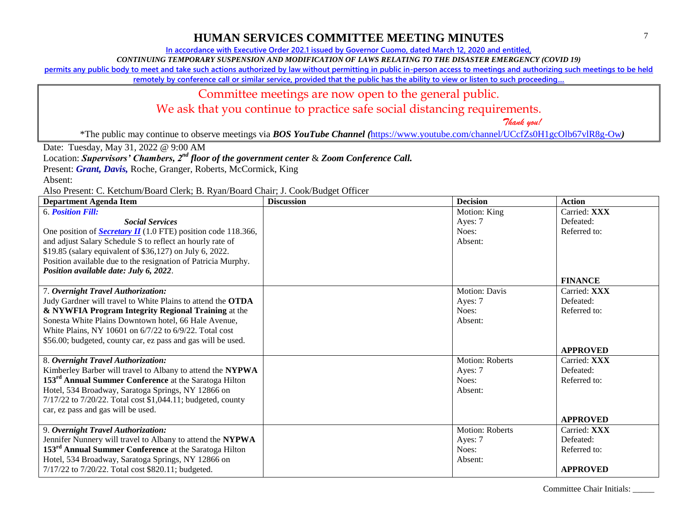**In accordance with Executive Order 202.1 issued by Governor Cuomo, dated March 12, 2020 and entitled,**

*CONTINUING TEMPORARY SUSPENSION AND MODIFICATION OF LAWS RELATING TO THE DISASTER EMERGENCY (COVID 19)*

**permits any public body to meet and take such actions authorized by law without permitting in public in-person access to meetings and authorizing such meetings to be held** 

**remotely by conference call or similar service, provided that the public has the ability to view or listen to such proceeding…**

#### Committee meetings are now open to the general public.

We ask that you continue to practice safe social distancing requirements.

 *Thank you!*

\*The public may continue to observe meetings via *BOS YouTube Channel (*<https://www.youtube.com/channel/UCcfZs0H1gcOlb67vlR8g-Ow>*)*

Date: Tuesday, May 31, 2022 @ 9:00 AM

Location: *Supervisors' Chambers, 2nd floor of the government center* & *Zoom Conference Call.*

Present: *Grant, Davis*, Roche, Granger, Roberts, McCormick, King

Absent:

Also Present: C. Ketchum/Board Clerk; B. Ryan/Board Chair; J. Cook/Budget Officer

| <b>Department Agenda Item</b>                                        | <b>Discussion</b> | <b>Decision</b>        | <b>Action</b>   |
|----------------------------------------------------------------------|-------------------|------------------------|-----------------|
| <b>6. Position Fill:</b>                                             |                   | Motion: King           | Carried: XXX    |
| <b>Social Services</b>                                               |                   | Ayes: 7                | Defeated:       |
| One position of <b>Secretary II</b> (1.0 FTE) position code 118.366, |                   | Noes:                  | Referred to:    |
| and adjust Salary Schedule S to reflect an hourly rate of            |                   | Absent:                |                 |
| \$19.85 (salary equivalent of \$36,127) on July 6, 2022.             |                   |                        |                 |
| Position available due to the resignation of Patricia Murphy.        |                   |                        |                 |
| Position available date: July 6, 2022.                               |                   |                        |                 |
|                                                                      |                   |                        | <b>FINANCE</b>  |
| 7. Overnight Travel Authorization:                                   |                   | <b>Motion: Davis</b>   | Carried: XXX    |
| Judy Gardner will travel to White Plains to attend the OTDA          |                   | Ayes: 7                | Defeated:       |
| & NYWFIA Program Integrity Regional Training at the                  |                   | Noes:                  | Referred to:    |
| Sonesta White Plains Downtown hotel, 66 Hale Avenue,                 |                   | Absent:                |                 |
| White Plains, NY 10601 on 6/7/22 to 6/9/22. Total cost               |                   |                        |                 |
| \$56.00; budgeted, county car, ez pass and gas will be used.         |                   |                        |                 |
|                                                                      |                   |                        | <b>APPROVED</b> |
| 8. Overnight Travel Authorization:                                   |                   | <b>Motion: Roberts</b> | Carried: XXX    |
| Kimberley Barber will travel to Albany to attend the NYPWA           |                   | Ayes: 7                | Defeated:       |
| 153 <sup>rd</sup> Annual Summer Conference at the Saratoga Hilton    |                   | Noes:                  | Referred to:    |
| Hotel, 534 Broadway, Saratoga Springs, NY 12866 on                   |                   | Absent:                |                 |
| 7/17/22 to 7/20/22. Total cost \$1,044.11; budgeted, county          |                   |                        |                 |
| car, ez pass and gas will be used.                                   |                   |                        |                 |
|                                                                      |                   |                        | <b>APPROVED</b> |
| 9. Overnight Travel Authorization:                                   |                   | Motion: Roberts        | Carried: XXX    |
| Jennifer Nunnery will travel to Albany to attend the NYPWA           |                   | Ayes: 7                | Defeated:       |
| 153 <sup>rd</sup> Annual Summer Conference at the Saratoga Hilton    |                   | Noes:                  | Referred to:    |
| Hotel, 534 Broadway, Saratoga Springs, NY 12866 on                   |                   | Absent:                |                 |
| 7/17/22 to 7/20/22. Total cost \$820.11; budgeted.                   |                   |                        | <b>APPROVED</b> |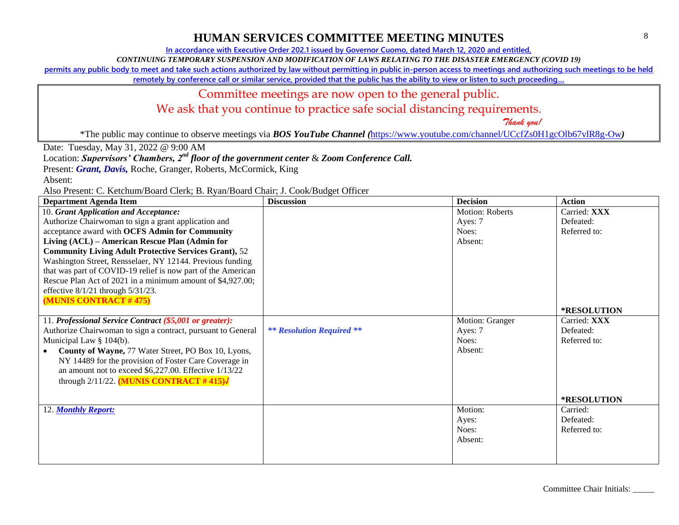**In accordance with Executive Order 202.1 issued by Governor Cuomo, dated March 12, 2020 and entitled,**

*CONTINUING TEMPORARY SUSPENSION AND MODIFICATION OF LAWS RELATING TO THE DISASTER EMERGENCY (COVID 19)*

**permits any public body to meet and take such actions authorized by law without permitting in public in-person access to meetings and authorizing such meetings to be held** 

**remotely by conference call or similar service, provided that the public has the ability to view or listen to such proceeding…**

## Committee meetings are now open to the general public.

We ask that you continue to practice safe social distancing requirements.

 *Thank you!*

\*The public may continue to observe meetings via *BOS YouTube Channel (*<https://www.youtube.com/channel/UCcfZs0H1gcOlb67vlR8g-Ow>*)*

Date: Tuesday, May 31, 2022 @ 9:00 AM

Location: *Supervisors' Chambers, 2nd floor of the government center* & *Zoom Conference Call.*

Present: *Grant, Davis*, Roche, Granger, Roberts, McCormick, King

Absent:

| <b>Department Agenda Item</b>                                | <b>Discussion</b>                | <b>Decision</b> | <b>Action</b>      |
|--------------------------------------------------------------|----------------------------------|-----------------|--------------------|
| 10. Grant Application and Acceptance:                        |                                  | Motion: Roberts | Carried: XXX       |
| Authorize Chairwoman to sign a grant application and         |                                  | Ayes: 7         | Defeated:          |
| acceptance award with OCFS Admin for Community               |                                  | Noes:           | Referred to:       |
| Living (ACL) – American Rescue Plan (Admin for               |                                  | Absent:         |                    |
| <b>Community Living Adult Protective Services Grant), 52</b> |                                  |                 |                    |
| Washington Street, Rensselaer, NY 12144. Previous funding    |                                  |                 |                    |
| that was part of COVID-19 relief is now part of the American |                                  |                 |                    |
| Rescue Plan Act of 2021 in a minimum amount of \$4,927.00;   |                                  |                 |                    |
| effective $8/1/21$ through $5/31/23$ .                       |                                  |                 |                    |
| (MUNIS CONTRACT #475)                                        |                                  |                 |                    |
|                                                              |                                  |                 | <b>*RESOLUTION</b> |
| 11. Professional Service Contract (\$5,001 or greater):      |                                  | Motion: Granger | Carried: XXX       |
| Authorize Chairwoman to sign a contract, pursuant to General | <b>** Resolution Required **</b> | Ayes: 7         | Defeated:          |
| Municipal Law $\S$ 104(b).                                   |                                  | Noes:           | Referred to:       |
| County of Wayne, 77 Water Street, PO Box 10, Lyons,          |                                  | Absent:         |                    |
| NY 14489 for the provision of Foster Care Coverage in        |                                  |                 |                    |
| an amount not to exceed \$6,227.00. Effective 1/13/22        |                                  |                 |                    |
| through $2/11/22$ . (MUNIS CONTRACT #415) $\sqrt{\ }$        |                                  |                 |                    |
|                                                              |                                  |                 |                    |
|                                                              |                                  |                 | <b>*RESOLUTION</b> |
| 12. Monthly Report:                                          |                                  | Motion:         | Carried:           |
|                                                              |                                  | Ayes:           | Defeated:          |
|                                                              |                                  | Noes:           | Referred to:       |
|                                                              |                                  | Absent:         |                    |
|                                                              |                                  |                 |                    |
|                                                              |                                  |                 |                    |